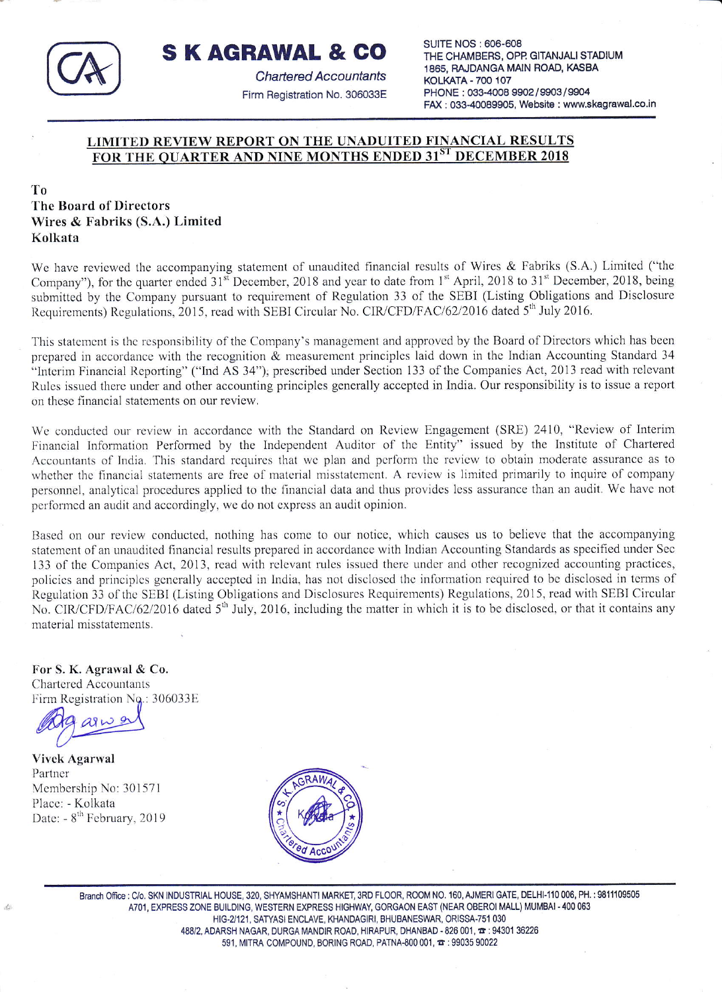

**SKAGRAWAL & CO** 

**Chartered Accountants** Firm Registration No. 306033E **SUITE NOS: 606-608** THE CHAMBERS, OPP. GITANJALI STADIUM 1865, RAJDANGA MAIN ROAD, KASBA **KOLKATA - 700 107** PHONE: 033-4008 9902 / 9903 / 9904 FAX: 033-40089905, Website: www.skagrawal.co.in

## LIMITED REVIEW REPORT ON THE UNADUITED FINANCIAL RESULTS FOR THE OUARTER AND NINE MONTHS ENDED 31ST DECEMBER 2018

## To The Board of Directors Wires & Fabriks (S.A.) Limited Kolkata

We have reviewed the accompanying statement of unaudited financial results of Wires & Fabriks (S.A.) Limited ("the Company"), for the quarter ended 31<sup>st</sup> December, 2018 and year to date from 1<sup>st</sup> April, 2018 to 31<sup>st</sup> December, 2018, being submitted by the Company pursuant to requirement of Regulation 33 of the SEBI (Listing Obligations and Disclosure Requirements) Regulations, 2015, read with SEBI Circular No. CIR/CFD/FAC/62/2016 dated 5<sup>th</sup> July 2016.

This statement is the responsibility of the Company's management and approved by the Board of Directors which has been prepared in accordance with the recognition & measurement principles laid down in the Indian Accounting Standard 34 "Interim Financial Reporting" ("Ind AS 34"), prescribed under Section 133 of the Companies Act, 2013 read with relevant Rules issued there under and other accounting principles generally accepted in India. Our responsibility is to issue a report on these financial statements on our review.

We conducted our review in accordance with the Standard on Review Engagement (SRE) 2410, "Review of Interim Financial Information Performed by the Independent Auditor of the Entity" issued by the Institute of Chartered Accountants of India. This standard requires that we plan and perform the review to obtain moderate assurance as to whether the financial statements are free of material misstatement. A review is limited primarily to inquire of company personnel, analytical procedures applied to the financial data and thus provides less assurance than an audit. We have not performed an audit and accordingly, we do not express an audit opinion.

Based on our review conducted, nothing has come to our notice, which causes us to believe that the accompanying statement of an unaudited financial results prepared in accordance with Indian Accounting Standards as specified under Sec 133 of the Companies Act, 2013, read with relevant rules issued there under and other recognized accounting practices, policies and principles generally accepted in India, has not disclosed the information required to be disclosed in terms of Regulation 33 of the SEBI (Listing Obligations and Disclosures Requirements) Regulations, 2015, read with SEBI Circular No. CIR/CFD/FAC/62/2016 dated 5<sup>th</sup> July, 2016, including the matter in which it is to be disclosed, or that it contains any material misstatements.

For S. K. Agrawal & Co. **Chartered Accountants** Firm Registration No.: 306033E

**Vivek Agarwal** Partner Membership No: 301571 Place: - Kolkata Date: - 8<sup>th</sup> February, 2019



Branch Office: C/o. SKN INDUSTRIAL HOUSE, 320, SHYAMSHANTI MARKET, 3RD FLOOR, ROOM NO. 160, AJMERI GATE, DELHI-110 006, PH.: 9811109505 A701, EXPRESS ZONE BUILDING, WESTERN EXPRESS HIGHWAY, GORGAON EAST (NEAR OBEROI MALL) MUMBAI - 400 063 HIG-2/121, SATYASI ENCLAVE, KHANDAGIRI, BHUBANESWAR, ORISSA-751 030 488/2, ADARSH NAGAR, DURGA MANDIR ROAD, HIRAPUR, DHANBAD - 826 001,  $\pi$ : 94301 36226 591, MITRA COMPOUND, BORING ROAD, PATNA-800 001,  $\pi$ : 99035 90022